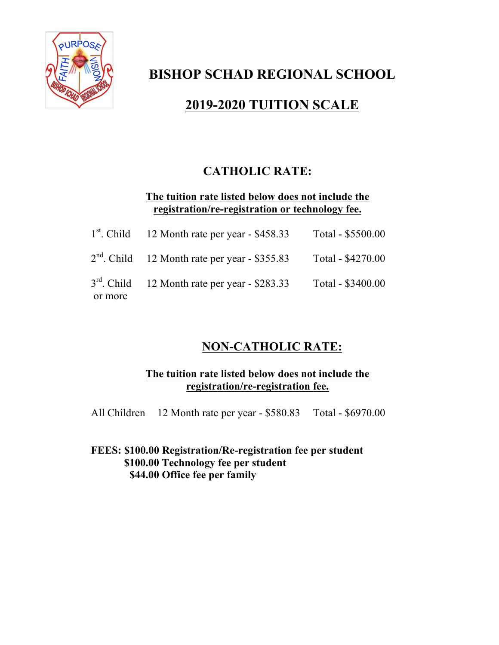

# **BISHOP SCHAD REGIONAL SCHOOL**

# **2019-2020 TUITION SCALE**

## **CATHOLIC RATE:**

**The tuition rate listed below does not include the registration/re-registration or technology fee.**

|         | $1st$ . Child 12 Month rate per year - \$458.33                   | Total - \$5500.00 |
|---------|-------------------------------------------------------------------|-------------------|
|         | $2nd$ . Child 12 Month rate per year - \$355.83 Total - \$4270.00 |                   |
| or more | $3rd$ . Child 12 Month rate per year - \$283.33                   | Total - \$3400.00 |

## **NON-CATHOLIC RATE:**

## **The tuition rate listed below does not include the registration/re-registration fee.**

All Children 12 Month rate per year - \$580.83 Total - \$6970.00

**FEES: \$100.00 Registration/Re-registration fee per student \$100.00 Technology fee per student \$44.00 Office fee per family**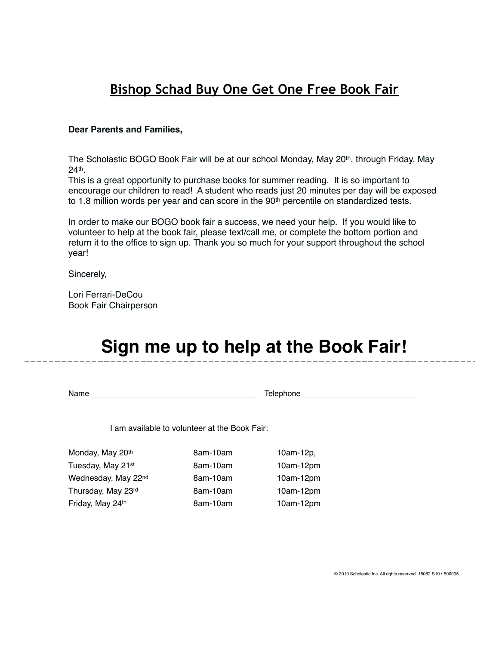## **Bishop Schad Buy One Get One Free Book Fair**

#### **Dear Parents and Families,**

The Scholastic BOGO Book Fair will be at our school Monday, May 20<sup>th</sup>, through Friday, May 24th.

This is a great opportunity to purchase books for summer reading. It is so important to encourage our children to read! A student who reads just 20 minutes per day will be exposed to 1.8 million words per year and can score in the 90<sup>th</sup> percentile on standardized tests.

In order to make our BOGO book fair a success, we need your help. If you would like to volunteer to help at the book fair, please text/call me, or complete the bottom portion and return it to the office to sign up. Thank you so much for your support throughout the school year!

Sincerely,

Lori Ferrari-DeCou Book Fair Chairperson

# **Sign me up to help at the Book Fair!**

Name Telephone

I am available to volunteer at the Book Fair:

Monday, May 20<sup>th</sup> 8am-10am 10am 10am-12p, Tuesday, May 21<sup>st</sup> 8am-10am 10am-12pm Wednesday, May 22<sup>nd</sup> 8am-10am 10am-12pm Thursday, May 23rd 8am-10am 10am 10am-12pm Friday, May 24<sup>th</sup> 8am-10am 10am 10am-12pm

© 2019 Scholastic Inc. All rights reserved. 15082 S19 • 500005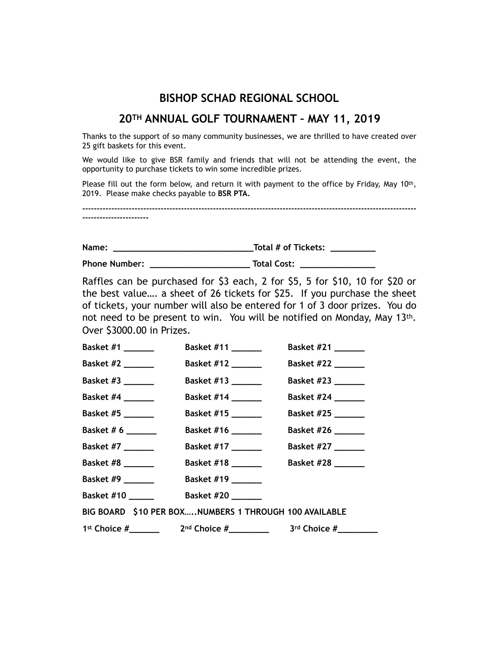## **BISHOP SCHAD REGIONAL SCHOOL**

### **20TH ANNUAL GOLF TOURNAMENT – MAY 11, 2019**

Thanks to the support of so many community businesses, we are thrilled to have created over 25 gift baskets for this event.

We would like to give BSR family and friends that will not be attending the event, the opportunity to purchase tickets to win some incredible prizes.

Please fill out the form below, and return it with payment to the office by Friday, May 10th, 2019. Please make checks payable to **BSR PTA.** 

**------------------------------------------------------------------------------------------------------------------- -----------------------** 

**Name: \_\_\_\_\_\_\_\_\_\_\_\_\_\_\_\_\_\_\_\_\_\_\_\_\_\_\_\_Total # of Tickets: \_\_\_\_\_\_\_\_\_** 

**Phone Number: \_\_\_\_\_\_\_\_\_\_\_\_\_\_\_\_\_\_\_\_ Total Cost: \_\_\_\_\_\_\_\_\_\_\_\_\_\_\_** 

Raffles can be purchased for \$3 each, 2 for \$5, 5 for \$10, 10 for \$20 or the best value…. a sheet of 26 tickets for \$25. If you purchase the sheet of tickets, your number will also be entered for 1 of 3 door prizes. You do not need to be present to win. You will be notified on Monday, May 13th. Over \$3000.00 in Prizes.

| Basket $#1$ _________                   | Basket #11 _______                                      | Basket #21 ______  |
|-----------------------------------------|---------------------------------------------------------|--------------------|
| Basket #2 _______                       | Basket #12 _______                                      | Basket #22 ______  |
| Basket #3 _______                       | Basket #13 _______                                      | Basket #23 _______ |
| <b>Basket #4</b> ______                 | Basket #14 _______                                      | Basket #24 ______  |
| Basket #5 _______                       | Basket #15                                              | Basket #25 _______ |
| Basket # 6 ______                       | Basket #16 _______                                      | Basket #26 ______  |
| <b>Basket #7</b> _______                | Basket #17 _______                                      | Basket #27 _______ |
| Basket #8 _______                       | Basket #18 _______                                      | Basket #28 ______  |
| Basket #9 $\_\_\_\_\_\_\_\_\_\_\_\_\_\$ | Basket #19 _______                                      |                    |
| <b>Basket #10 ______</b>                | Basket #20 _______                                      |                    |
|                                         | BIG BOARD \$10 PER BOX, NUMBERS 1 THROUGH 100 AVAILABLE |                    |
|                                         |                                                         |                    |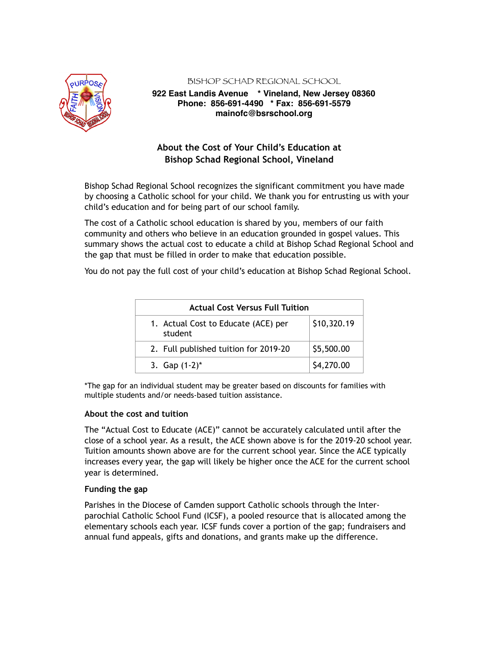

BISHOP SCHAD REGIONAL SCHOOL

#### **922 East Landis Avenue \* Vineland, New Jersey 08360 Phone: 856-691-4490 \* Fax: 856-691-5579 mainofc@bsrschool.org**

### **About the Cost of Your Child's Education at Bishop Schad Regional School, Vineland**

Bishop Schad Regional School recognizes the significant commitment you have made by choosing a Catholic school for your child. We thank you for entrusting us with your child's education and for being part of our school family.

The cost of a Catholic school education is shared by you, members of our faith community and others who believe in an education grounded in gospel values. This summary shows the actual cost to educate a child at Bishop Schad Regional School and the gap that must be filled in order to make that education possible.

You do not pay the full cost of your child's education at Bishop Schad Regional School.

| <b>Actual Cost Versus Full Tuition</b>         |             |  |  |
|------------------------------------------------|-------------|--|--|
| 1. Actual Cost to Educate (ACE) per<br>student | \$10,320.19 |  |  |
| 2. Full published tuition for 2019-20          | \$5,500.00  |  |  |
| 3. Gap $(1-2)^*$                               | \$4,270.00  |  |  |

\*The gap for an individual student may be greater based on discounts for families with multiple students and/or needs-based tuition assistance.

#### **About the cost and tuition**

The "Actual Cost to Educate (ACE)" cannot be accurately calculated until after the close of a school year. As a result, the ACE shown above is for the 2019-20 school year. Tuition amounts shown above are for the current school year. Since the ACE typically increases every year, the gap will likely be higher once the ACE for the current school year is determined.

#### **Funding the gap**

Parishes in the Diocese of Camden support Catholic schools through the Interparochial Catholic School Fund (ICSF), a pooled resource that is allocated among the elementary schools each year. ICSF funds cover a portion of the gap; fundraisers and annual fund appeals, gifts and donations, and grants make up the difference.